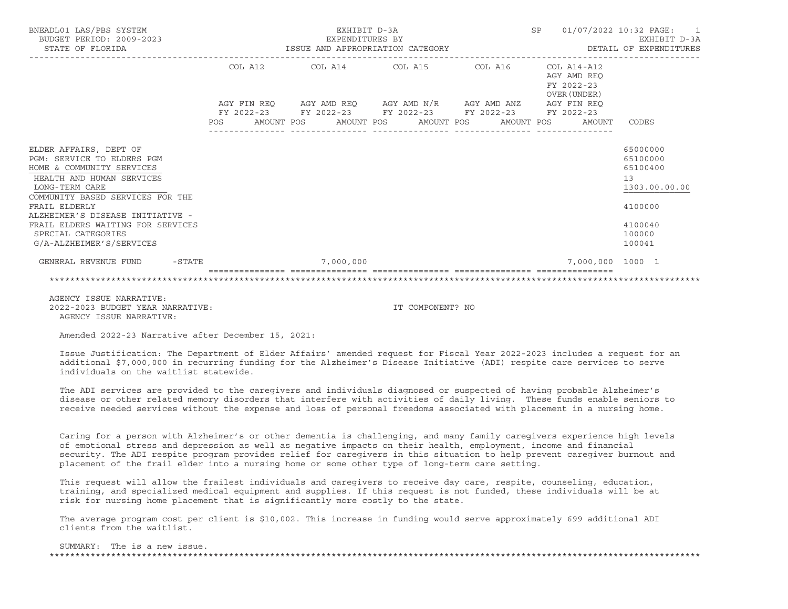| BNEADL01 LAS/PBS SYSTEM<br>BUDGET PERIOD: 2009-2023<br>STATE OF FLORIDA                                                                                                                                                                                                                                          | EXHIBIT D-3A<br>EXPENDITURES BY | SP                                                          | 01/07/2022 10:32 PAGE: 1<br>EXHIBIT D-3A |                                                          |                                                                                                   |  |  |
|------------------------------------------------------------------------------------------------------------------------------------------------------------------------------------------------------------------------------------------------------------------------------------------------------------------|---------------------------------|-------------------------------------------------------------|------------------------------------------|----------------------------------------------------------|---------------------------------------------------------------------------------------------------|--|--|
|                                                                                                                                                                                                                                                                                                                  |                                 | AGY FIN REQ AGY AMD REQ AGY AMD N/R AGY AMD ANZ AGY FIN REQ |                                          | COL A14-A12<br>AGY AMD REO<br>FY 2022-23<br>OVER (UNDER) |                                                                                                   |  |  |
|                                                                                                                                                                                                                                                                                                                  |                                 | FY 2022-23 FY 2022-23 FY 2022-23 FY 2022-23 FY 2022-23      |                                          | POS AMOUNT POS AMOUNT POS AMOUNT POS AMOUNT POS AMOUNT   | CODES                                                                                             |  |  |
| ELDER AFFAIRS, DEPT OF<br>PGM: SERVICE TO ELDERS PGM<br>HOME & COMMUNITY SERVICES<br>HEALTH AND HUMAN SERVICES<br>LONG-TERM CARE<br>COMMUNITY BASED SERVICES FOR THE<br>FRAIL ELDERLY<br>ALZHEIMER'S DISEASE INITIATIVE -<br>FRAIL ELDERS WAITING FOR SERVICES<br>SPECIAL CATEGORIES<br>G/A-ALZHEIMER'S/SERVICES |                                 |                                                             |                                          |                                                          | 65000000<br>65100000<br>65100400<br>13<br>1303.00.00.00<br>4100000<br>4100040<br>100000<br>100041 |  |  |
| GENERAL REVENUE FUND - STATE                                                                                                                                                                                                                                                                                     | 7,000,000                       |                                                             |                                          | 7,000,000 1000 1                                         |                                                                                                   |  |  |
|                                                                                                                                                                                                                                                                                                                  |                                 |                                                             |                                          |                                                          |                                                                                                   |  |  |

 AGENCY ISSUE NARRATIVE: 2022-2023 BUDGET YEAR NARRATIVE: IT COMPONENT? NOAGENCY ISSUE NARRATIVE:

Amended 2022-23 Narrative after December 15, 2021:

 Issue Justification: The Department of Elder Affairs' amended request for Fiscal Year 2022-2023 includes a request for a n additional \$7,000,000 in recurring funding for the Alzheimer's Disease Initiative (ADI) respite care services to serve individuals on the waitlist statewide.

 The ADI services are provided to the caregivers and individuals diagnosed or suspected of having probable Alzheimer's disease or other related memory disorders that interfere with activities of daily living. These funds enable seniors to receive needed services without the expense and loss of personal freedoms associated with placement in a nursing home.

 Caring for a person with Alzheimer's or other dementia is challenging, and many family caregivers experience high levels of emotional stress and depression as well as negative impacts on their health, employment, income and financial security. The ADI respite program provides relief for caregivers in this situation to help prevent caregiver burnout and placement of the frail elder into a nursing home or some other type of long-term care setting.

 This request will allow the frailest individuals and caregivers to receive day care, respite, counseling, education, training, and specialized medical equipment and supplies. If this request is not funded, these individuals will be at risk for nursing home placement that is significantly more costly to the state.

 The average program cost per client is \$10,002. This increase in funding would serve approximately 699 additional ADI clients from the waitlist.

 SUMMARY: The is a new issue.\*\*\*\*\*\*\*\*\*\*\*\*\*\*\*\*\*\*\*\*\*\*\*\*\*\*\*\*\*\*\*\*\*\*\*\*\*\*\*\*\*\*\*\*\*\*\*\*\*\*\*\*\*\*\*\*\*\*\*\*\*\*\*\*\*\*\*\*\*\*\*\*\*\*\*\*\*\*\*\*\*\*\*\*\*\*\*\*\*\*\*\*\*\*\*\*\*\*\*\*\*\*\*\*\*\*\*\*\*\*\*\*\*\*\*\*\*\*\*\*\*\*\*\*\*\*\*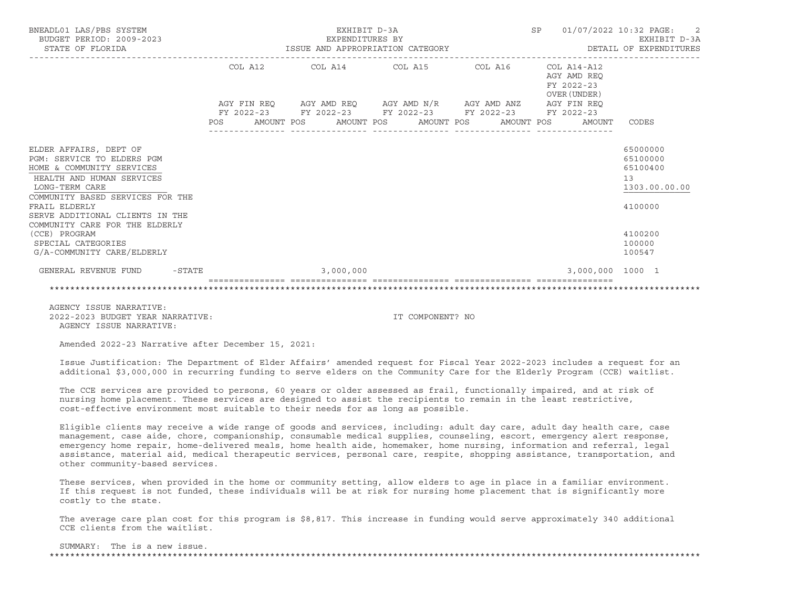| BUDGET PERIOD: 2009-2023<br>STATE OF FLORIDA                                                                                                                                                                                                                                                                                    | EXHIBIT D-3A<br>EXPENDITURES BY<br>EXPENDITURES BY<br>ISSUE AND APPROPRIATION CATEGORY                           |  |                                                             |  |  |  |  |                                                              |                  |                                                                                  | 01/07/2022 10:32 PAGE: 2<br>EXHIBIT D-3A<br>DETAIL OF EXPENDITURES |
|---------------------------------------------------------------------------------------------------------------------------------------------------------------------------------------------------------------------------------------------------------------------------------------------------------------------------------|------------------------------------------------------------------------------------------------------------------|--|-------------------------------------------------------------|--|--|--|--|--------------------------------------------------------------|------------------|----------------------------------------------------------------------------------|--------------------------------------------------------------------|
|                                                                                                                                                                                                                                                                                                                                 |                                                                                                                  |  | AGY FIN REQ AGY AMD REQ AGY AMD N/R AGY AMD ANZ AGY FIN REQ |  |  |  |  | $COL A14 - A12$<br>AGY AMD REO<br>FY 2022-23<br>OVER (UNDER) |                  |                                                                                  |                                                                    |
|                                                                                                                                                                                                                                                                                                                                 | FY 2022-23 FY 2022-23 FY 2022-23 FY 2022-23 FY 2022-23<br>POS AMOUNT POS AMOUNT POS AMOUNT POS AMOUNT POS AMOUNT |  |                                                             |  |  |  |  |                                                              |                  | CODES                                                                            |                                                                    |
| ELDER AFFAIRS, DEPT OF<br>PGM: SERVICE TO ELDERS PGM<br>HOME & COMMUNITY SERVICES<br>HEALTH AND HUMAN SERVICES<br>LONG-TERM CARE<br>COMMUNITY BASED SERVICES FOR THE<br>FRAIL ELDERLY<br>SERVE ADDITIONAL CLIENTS IN THE<br>COMMUNITY CARE FOR THE ELDERLY<br>(CCE) PROGRAM<br>SPECIAL CATEGORIES<br>G/A-COMMUNITY CARE/ELDERLY |                                                                                                                  |  |                                                             |  |  |  |  |                                                              |                  | 65000000<br>65100000<br>65100400<br>13<br>4100000<br>4100200<br>100000<br>100547 | 1303.00.00.00                                                      |
| GENERAL REVENUE FUND<br>$-STATE$                                                                                                                                                                                                                                                                                                |                                                                                                                  |  | 3,000,000                                                   |  |  |  |  |                                                              | 3,000,000 1000 1 |                                                                                  |                                                                    |

 AGENCY ISSUE NARRATIVE: 2022-2023 BUDGET YEAR NARRATIVE: IT COMPONENT? NOAGENCY ISSUE NARRATIVE:

Amended 2022-23 Narrative after December 15, 2021:

 Issue Justification: The Department of Elder Affairs' amended request for Fiscal Year 2022-2023 includes a request for a nadditional \$3,000,000 in recurring funding to serve elders on the Community Care for the Elderly Program (CCE) waitlist.

\*\*\*\*\*\*\*\*\*\*\*\*\*\*\*\*\*\*\*\*\*\*\*\*\*\*\*\*\*\*\*\*\*\*\*\*\*\*\*\*\*\*\*\*\*\*\*\*\*\*\*\*\*\*\*\*\*\*\*\*\*\*\*\*\*\*\*\*\*\*\*\*\*\*\*\*\*\*\*\*\*\*\*\*\*\*\*\*\*\*\*\*\*\*\*\*\*\*\*\*\*\*\*\*\*\*\*\*\*\*\*\*\*\*\*\*\*\*\*\*\*\*\*\*\*\*\*

 The CCE services are provided to persons, 60 years or older assessed as frail, functionally impaired, and at risk of nursing home placement. These services are designed to assist the recipients to remain in the least restrictive, cost-effective environment most suitable to their needs for as long as possible.

 Eligible clients may receive a wide range of goods and services, including: adult day care, adult day health care, case management, case aide, chore, companionship, consumable medical supplies, counseling, escort, emergency alert response, emergency home repair, home-delivered meals, home health aide, homemaker, home nursing, information and referral, legal assistance, material aid, medical therapeutic services, personal care, respite, shopping assistance, transportation, and other community-based services.

 These services, when provided in the home or community setting, allow elders to age in place in a familiar environment. If this request is not funded, these individuals will be at risk for nursing home placement that is significantly more costly to the state.

 The average care plan cost for this program is \$8,817. This increase in funding would serve approximately 340 additional CCE clients from the waitlist.

## SUMMARY: The is a new issue.

\*\*\*\*\*\*\*\*\*\*\*\*\*\*\*\*\*\*\*\*\*\*\*\*\*\*\*\*\*\*\*\*\*\*\*\*\*\*\*\*\*\*\*\*\*\*\*\*\*\*\*\*\*\*\*\*\*\*\*\*\*\*\*\*\*\*\*\*\*\*\*\*\*\*\*\*\*\*\*\*\*\*\*\*\*\*\*\*\*\*\*\*\*\*\*\*\*\*\*\*\*\*\*\*\*\*\*\*\*\*\*\*\*\*\*\*\*\*\*\*\*\*\*\*\*\*\*